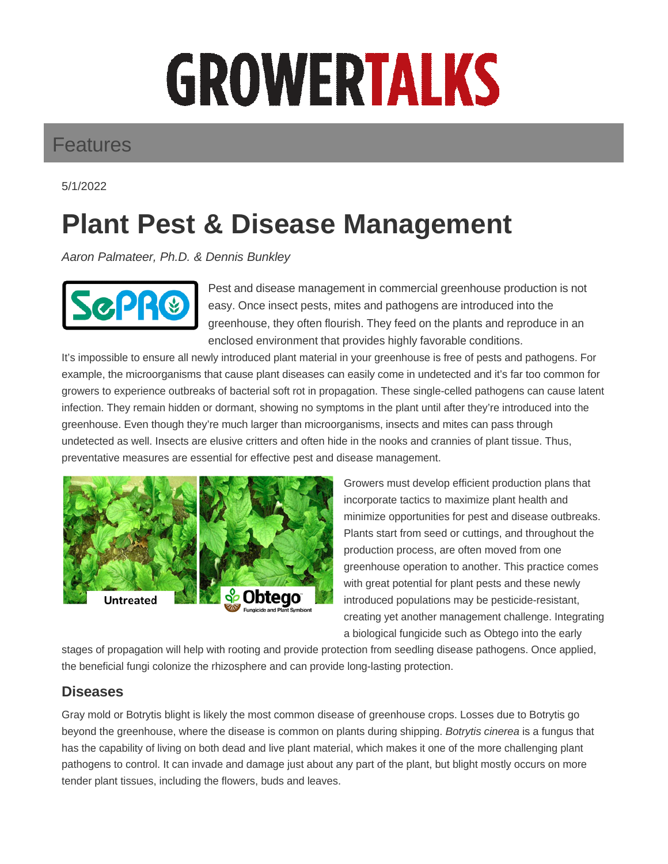# GROWERTALKS

## Features

5/1/2022

## **Plant Pest & Disease Management**

Aaron Palmateer, Ph.D. & Dennis Bunkley



Pest and disease management in commercial greenhouse production is not easy. Once insect pests, mites and pathogens are introduced into the greenhouse, they often flourish. They feed on the plants and reproduce in an enclosed environment that provides highly favorable conditions.

It's impossible to ensure all newly introduced plant material in your greenhouse is free of pests and pathogens. For example, the microorganisms that cause plant diseases can easily come in undetected and it's far too common for growers to experience outbreaks of bacterial soft rot in propagation. These single-celled pathogens can cause latent infection. They remain hidden or dormant, showing no symptoms in the plant until after they're introduced into the greenhouse. Even though they're much larger than microorganisms, insects and mites can pass through undetected as well. Insects are elusive critters and often hide in the nooks and crannies of plant tissue. Thus, preventative measures are essential for effective pest and disease management.



Growers must develop efficient production plans that incorporate tactics to maximize plant health and minimize opportunities for pest and disease outbreaks. Plants start from seed or cuttings, and throughout the production process, are often moved from one greenhouse operation to another. This practice comes with great potential for plant pests and these newly introduced populations may be pesticide-resistant, creating yet another management challenge. Integrating a biological fungicide such as Obtego into the early

stages of propagation will help with rooting and provide protection from seedling disease pathogens. Once applied, the beneficial fungi colonize the rhizosphere and can provide long-lasting protection.

### **Diseases**

Gray mold or Botrytis blight is likely the most common disease of greenhouse crops. Losses due to Botrytis go beyond the greenhouse, where the disease is common on plants during shipping. Botrytis cinerea is a fungus that has the capability of living on both dead and live plant material, which makes it one of the more challenging plant pathogens to control. It can invade and damage just about any part of the plant, but blight mostly occurs on more tender plant tissues, including the flowers, buds and leaves.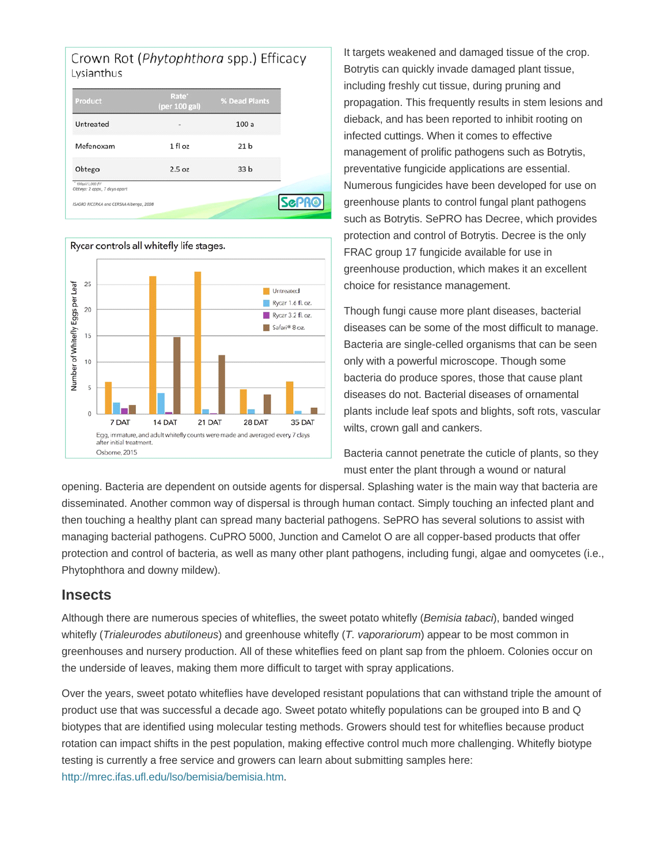



It targets weakened and damaged tissue of the crop. Botrytis can quickly invade damaged plant tissue, including freshly cut tissue, during pruning and propagation. This frequently results in stem lesions and dieback, and has been reported to inhibit rooting on infected cuttings. When it comes to effective management of prolific pathogens such as Botrytis, preventative fungicide applications are essential. Numerous fungicides have been developed for use on greenhouse plants to control fungal plant pathogens such as Botrytis. SePRO has Decree, which provides protection and control of Botrytis. Decree is the only FRAC group 17 fungicide available for use in greenhouse production, which makes it an excellent choice for resistance management.

Though fungi cause more plant diseases, bacterial diseases can be some of the most difficult to manage. Bacteria are single-celled organisms that can be seen only with a powerful microscope. Though some bacteria do produce spores, those that cause plant diseases do not. Bacterial diseases of ornamental plants include leaf spots and blights, soft rots, vascular wilts, crown gall and cankers.

Bacteria cannot penetrate the cuticle of plants, so they must enter the plant through a wound or natural

opening. Bacteria are dependent on outside agents for dispersal. Splashing water is the main way that bacteria are disseminated. Another common way of dispersal is through human contact. Simply touching an infected plant and then touching a healthy plant can spread many bacterial pathogens. SePRO has several solutions to assist with managing bacterial pathogens. CuPRO 5000, Junction and Camelot O are all copper-based products that offer protection and control of bacteria, as well as many other plant pathogens, including fungi, algae and oomycetes (i.e., Phytophthora and downy mildew).

#### **Insects**

Although there are numerous species of whiteflies, the sweet potato whitefly (Bemisia tabaci), banded winged whitefly (Trialeurodes abutiloneus) and greenhouse whitefly (T. vaporariorum) appear to be most common in greenhouses and nursery production. All of these whiteflies feed on plant sap from the phloem. Colonies occur on the underside of leaves, making them more difficult to target with spray applications.

Over the years, sweet potato whiteflies have developed resistant populations that can withstand triple the amount of product use that was successful a decade ago. Sweet potato whitefly populations can be grouped into B and Q biotypes that are identified using molecular testing methods. Growers should test for whiteflies because product rotation can impact shifts in the pest population, making effective control much more challenging. Whitefly biotype testing is currently a free service and growers can learn about submitting samples here: http://mrec.ifas.ufl.edu/lso/bemisia/bemisia.htm.